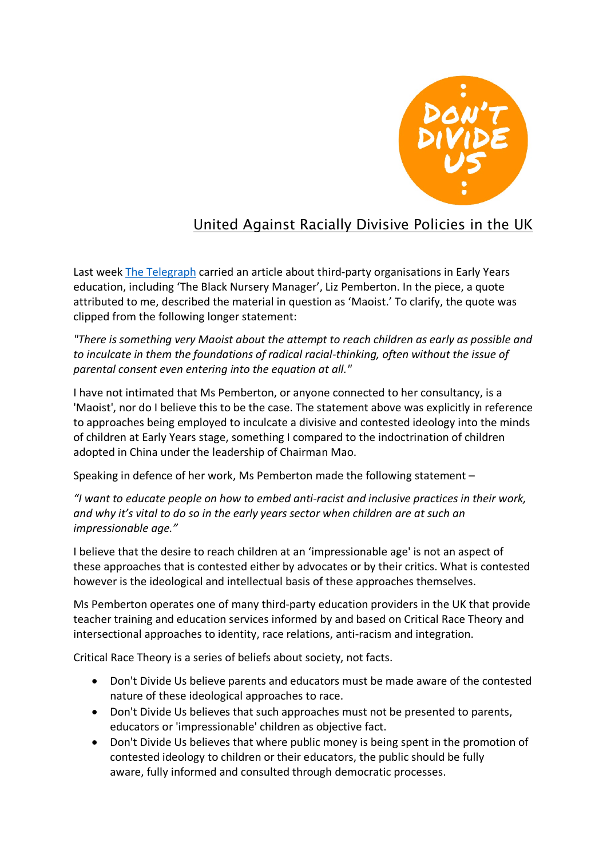

## United Against Racially Divisive Policies in the UK

Last week [The Telegraph](https://www.telegraph.co.uk/news/2022/05/07/nursery-consultant-hired-councils-decolonise-mindsets-children/) carried an article about third-party organisations in Early Years education, including 'The Black Nursery Manager', Liz Pemberton. In the piece, a quote attributed to me, described the material in question as 'Maoist.' To clarify, the quote was clipped from the following longer statement:

*"There is something very Maoist about the attempt to reach children as early as possible and to inculcate in them the foundations of radical racial-thinking, often without the issue of parental consent even entering into the equation at all."*

I have not intimated that Ms Pemberton, or anyone connected to her consultancy, is a 'Maoist', nor do I believe this to be the case. The statement above was explicitly in reference to approaches being employed to inculcate a divisive and contested ideology into the minds of children at Early Years stage, something I compared to the indoctrination of children adopted in China under the leadership of Chairman Mao.

Speaking in defence of her work, Ms Pemberton made the following statement –

*"I want to educate people on how to embed anti-racist and inclusive practices in their work, and why it's vital to do so in the early years sector when children are at such an impressionable age."*

I believe that the desire to reach children at an 'impressionable age' is not an aspect of these approaches that is contested either by advocates or by their critics. What is contested however is the ideological and intellectual basis of these approaches themselves.

Ms Pemberton operates one of many third-party education providers in the UK that provide teacher training and education services informed by and based on Critical Race Theory and intersectional approaches to identity, race relations, anti-racism and integration.

Critical Race Theory is a series of beliefs about society, not facts.

- Don't Divide Us believe parents and educators must be made aware of the contested nature of these ideological approaches to race.
- Don't Divide Us believes that such approaches must not be presented to parents, educators or 'impressionable' children as objective fact.
- Don't Divide Us believes that where public money is being spent in the promotion of contested ideology to children or their educators, the public should be fully aware, fully informed and consulted through democratic processes.